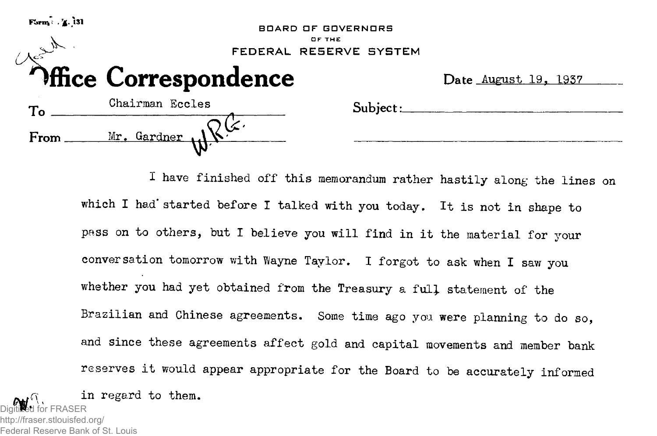| $\textbf{Form} \times \mathbf{Z}$ . 131 | <b>BOARD OF GOVERNORS</b><br>OF THE<br>FEDERAL RESERVE SYSTEM |          |                             |  |  |  |  |  |
|-----------------------------------------|---------------------------------------------------------------|----------|-----------------------------|--|--|--|--|--|
|                                         | <b>Office Correspondence</b>                                  |          | Date <u>August 19, 1937</u> |  |  |  |  |  |
| To                                      | Chairman Eccles                                               | Subject: |                             |  |  |  |  |  |
| From _                                  | Mr. Gardner                                                   |          |                             |  |  |  |  |  |

I have finished off this memorandum rather hastily along the lines on which I had' started before I talked with you today. It is not in shape to pass on to others, but I believe you will find in it the material for your conversation tomorrow with Wayne Taylor. I forgot to ask when I saw you whether you had yet obtained from the Treasury a fulj statement of the Brazilian and Chinese agreements. Some time ago you were planning to do so, and since these agreements affect gold and capital movements and member bank reserves it would appear appropriate for the Board to be accurately informed in regard to them. Digitized for FRASER

http://fraser.stlouisfed.org/ Federal Reserve Bank of St. Louis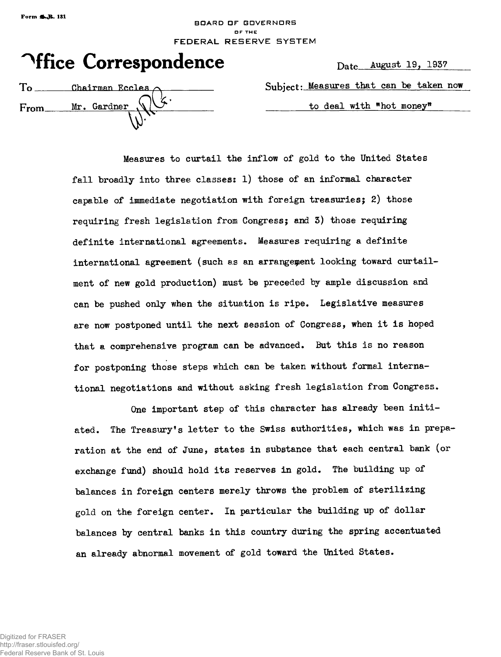## **BOARD OF GDVERNDRS DF THE** FEDERAL RESERVE SYSTEM

|  | <b><i><u>Affice Correspondence</u></i></b> |  |
|--|--------------------------------------------|--|
|--|--------------------------------------------|--|

Date August 19, 1937

 $To$  Chairman Eccles  $\wedge$  Music t: Measures that can be taken now

From Mr. Gardner  $\sqrt{V}$  to deal with "hot money"

Measures to curtail the inflow of gold to the United States fall broadly into three classes: 1) those of an informal character capable of immediate negotiation with foreign treasuries; 2) those requiring fresh legislation from Congress; and 3) those requiring definite international agreements. Measures requiring a definite international agreement (such as an arrangement looking toward curtailment of new gold production) must be preceded by ample discussion and can be pushed only when the situation is ripe. Legislative measures are now postponed until the next session of Congress, when it is hoped that a comprehensive program can be advanced. But this is no reason for postponing those steps which can be taken without formal international negotiations and without asking fresh legislation from Congress.

One important step of this character has already been initiated. The Treasury's letter to the Swiss authorities, which was in preparation at the end of June, states in substance that each central bank (or exchange fund) should hold its reserves in gold. The building up of balances in foreign centers merely throws the problem of sterilizing gold on the foreign center. In particular the building up of dollar balances by central banks in this country during the spring accentuated an already abnormal movement of gold toward the United States.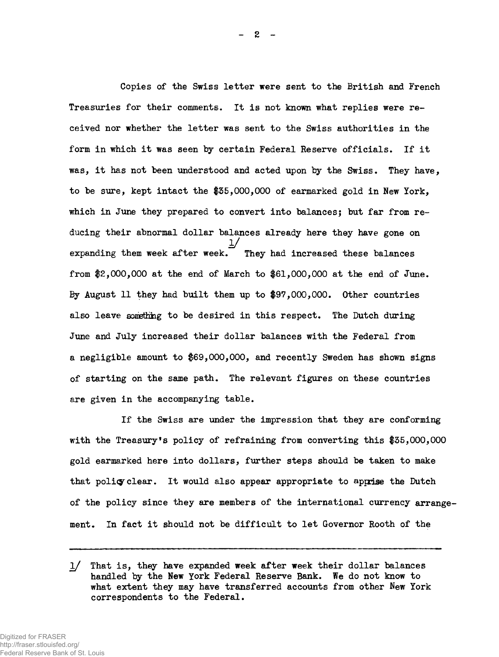Copies of the Swiss letter were sent to the British and French Treasuries for their comments. It is not known what replies were received nor whether the letter was sent to the Swiss authorities in the form in which it was seen by certain Federal Reserve officials. If it was, it has not been understood and acted upon by the Swiss. They have, to be sure, kept intact the |35,OOO,OOO of earmarked gold in New York, which in June they prepared to convert into balances; but far from reducing their abnormal dollar balances already here they have gone on expanding them week after week. They had increased these balances from #2,000,000 at the end of March to #61,000,000 at the end of June. By August 11 they had built them up to #97,000,000. Other countries also leave something to be desired in this respect. The Dutch during June and July increased their dollar balances with the Federal from a negligible amount to \$69,000,000, and recently Sweden has shown signs of starting on the same path. The relevant figures on these countries are given in the accompanying table.

If the Swiss are under the impression that they are conforming with the Treasury's policy of refraining from converting this #35,000,000 gold earmarked here into dollars, further steps should be taken to make that policy clear. It would also appear appropriate to apprise the Dutch of the policy since they are members of the international currency arrangement. In fact it should not be difficult to let Governor Rooth of the

<sup>1/</sup> That is, they have expanded week after week their dollar balances handled by the New York Federal Reserve Bank. We do not know to what extent they may have transferred accounts from other New York correspondents to the Federal.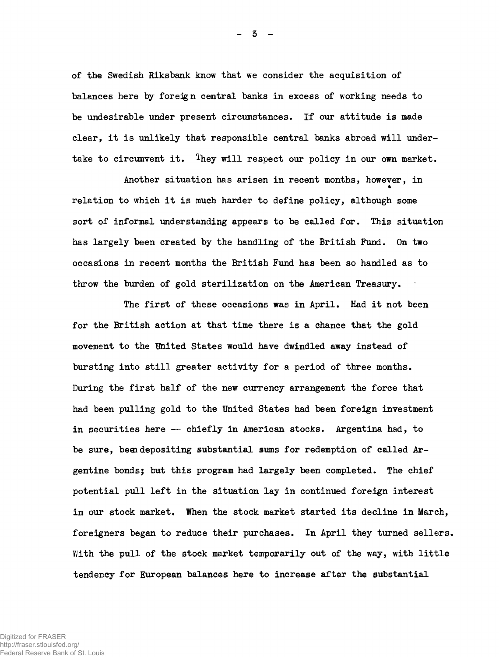of the Swedish Riksbank know that we consider the acquisition of balances here by foreign central banks in excess of working needs to be undesirable under present circumstances. If our attitude is made clear, it is unlikely that responsible central banks abroad will undertake to circumvent it. They will respect our policy in our own market.

Another situation has arisen in recent months, however, in relation to which it is much harder to define policy, although some sort of informal understanding appears to be called for. This situation has largely been created by the handling of the British Fund. On two occasions in recent months the British Fund has been so handled as to throw the burden of gold sterilization on the American Treasury.

The first of these occasions was in April. Had it not been for the British action at that time there is a chance that the gold movement to the United States would have dwindled away instead of bursting into still greater activity for a period of three months. During the first half of the new currency arrangement the force that had been pulling gold to the United States had been foreign investment in securities here — chiefly in American stocks. Argentina had, to be sure, been depositing substantial sums for redemption of called Argentine bonds; but this program had largely been completed. The chief potential pull left in the situation lay in continued foreign interest in our stock market. When the stock market started its decline in March, foreigners began to reduce their purchases. In April they turned sellers. With the pull of the stock market temporarily out of the way, with little tendency for European balances here to increase after the substantial

- 3 -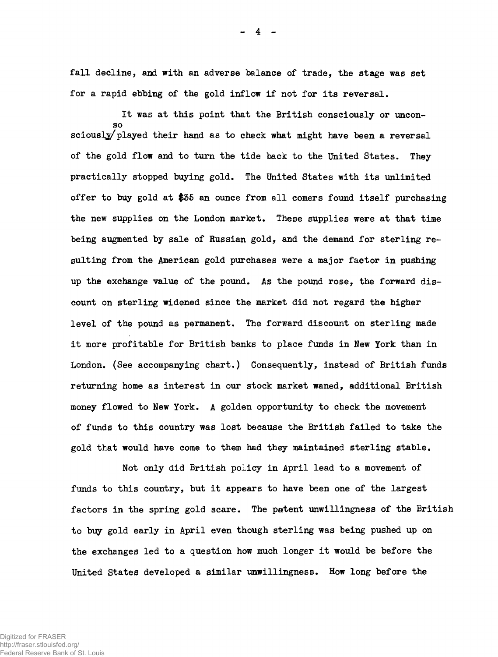fall decline, and with an adverse balance of trade, the stage was set for a rapid ebbing of the gold inflow if not for its reversal.

It was at this point that the British consciously or unconso sciously played their hand as to check what might have been a reversal of the gold flow and to turn the tide back to the United States. They practically stopped buying gold. The United States with its unlimited offer to buy gold at \$35 an ounce from all comers found itself purchasing the new supplies on the London market. These supplies were at that time being augmented by sale of Russian gold, and the demand for sterling resulting from the American gold purchases were a major factor in pushing up the exchange value of the pound. As the pound rose, the forward discount on sterling widened since the market did not regard the higher level of the pound as permanent. The forward discount on sterling made it more profitable for British banks to place funds in New York than in London. (See accompanying chart.) Consequently, instead of British funds returning home as interest in our stock market waned, additional British money flowed to New York. A golden opportunity to check the movement of funds to this country was lost because the British failed to take the gold that would have come to them had they maintained sterling stable.

Not only did British policy in April lead to a movement of funds to this country, but it appears to have been one of the largest factors in the spring gold scare. The patent unwillingness of the British to buy gold early in April even though sterling was being pushed up on the exchanges led to a question how much longer it would be before the United States developed a similar unwillingness. How long before the

\_ 4 -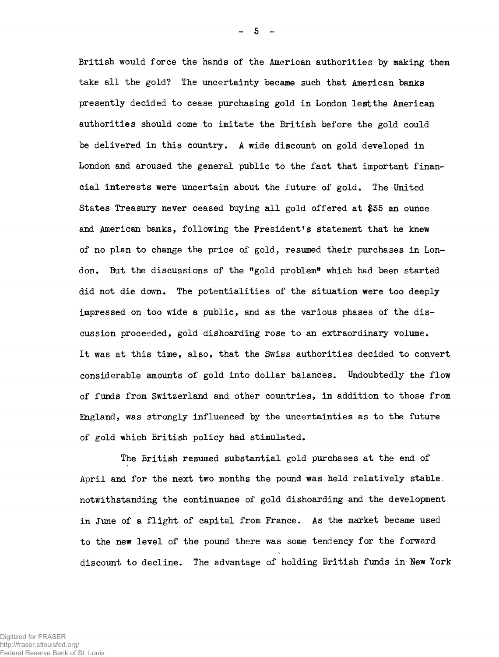British would force the hands of the American authorities by making them take all the gold? The uncertainty became such that American banks presently decided to cease purchasing gold in London lest the American authorities should come to imitate the British before the gold could be delivered in this country. A wide discount on gold developed in London and aroused the general public to the fact that important financial interests were uncertain about the future of gold. The United States Treasury never ceased buying all gold offered at \$35 an ounce and American banks, following the President's statement that he knew of no plan to change the price of gold, resumed their purchases in London. But the discussions of the "gold problem" which had been started did not die down. The potentialities of the situation were too deeply impressed on too wide a public, and as the various phases of the discussion proceeded, gold dishoarding rose to an extraordinary volume. It was at this time, also, that the Swiss authorities decided to convert considerable amounts of gold into dollar balances. Undoubtedly the flow of funds from Switzerland and other countries, in addition to those from England, was strongly influenced by the uncertainties as to the future of gold which British policy had stimulated.

The British resumed substantial gold purchases at the end of April and for the next two months the pound was held relatively stable, notwithstanding the continuance of gold dishoarding and the development in June of a flight of capital from France. As the market became used to the new level of the pound there was some tendency for the forward discount to decline. The advantage of holding British funds in New York

Digitized for FRASER http://fraser.stlouisfed.org/ Federal Reserve Bank of St. Louis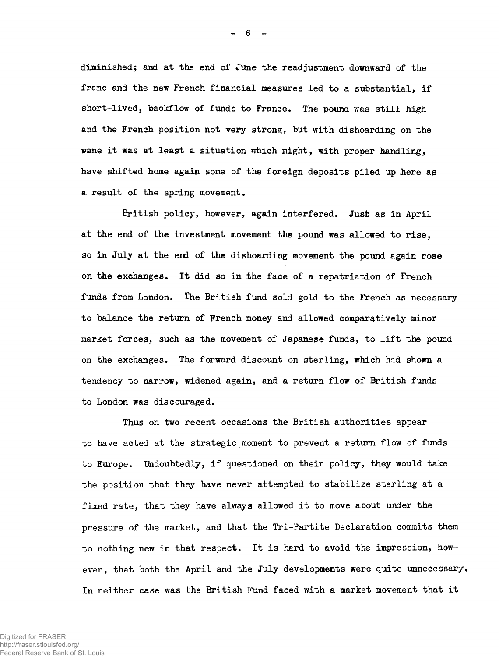diminished; and at the end of June the readjustment downward of the franc and the new French financial measures led to a substantial, if short-lived, backflow of funds to France. The pound was still high and the French position not very strong, but with dishoarding on the wane it was at least a situation which might, with proper handling, have shifted home again some of the foreign deposits piled up here as a result of the spring movement.

British policy, however, again interfered. Just as in April at the end of the investment movement the pound was allowed to rise, so in July at the end of the dishoarding movement the pound again rose on the exchanges. It did so in the face of a repatriation of French funds from London. The British fund sold gold to the French as necessary to balance the return of French money and allowed comparatively minor market forces, such as the movement of Japanese funds, to lift the pound on the exchanges. The forward discount on sterling, which had shown a tendency to narrow, widened again, and a return flow of British funds to London was discouraged.

Thus on two recent occasions the British authorities appear to have acted at the strategic moment to prevent a return flow of funds to Europe. Undoubtedly, if questioned on their policy, they would take the position that they have never attempted to stabilize sterling at a fixed rate, that they have always allowed it to move about under the pressure of the market, and that the Tri-Partite Declaration commits them to nothing new in that respect. It is hard to avoid the impression, however, that both the April and the July developments were quite unnecessary. In neither case was the British Fund faced with a market movement that it

Digitized for FRASER http://fraser.stlouisfed.org/ Federal Reserve Bank of St. Louis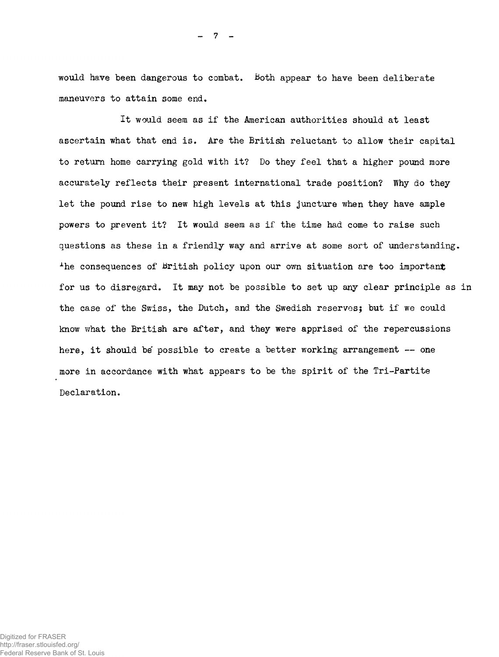would have been dangerous to combat. Both appear to have been deliberate maneuvers to attain some end.

It would seem as if the American authorities should at least ascertain what that end is. Are the British reluctant to allow their capital to return home carrying gold with it? Do they feel that a higher pound more accurately reflects their present international trade position? Why do they let the pound rise to new high levels at this juncture when they have ample powers to prevent it? It would seem as if the time had come to raise such questions as these in a friendly way and arrive at some sort of understanding. The consequences of British policy upon our own situation are too important for us to disregard. It may not be possible to set up any clear principle as in the case of the Swiss, the Dutch, and the Swedish reserves; but if we could know what the British are after, and they were apprised of the repercussions here, it should be possible to create a better working arrangement -- one more in accordance with what appears to be the spirit of the Tri-Partite Declaration.

7